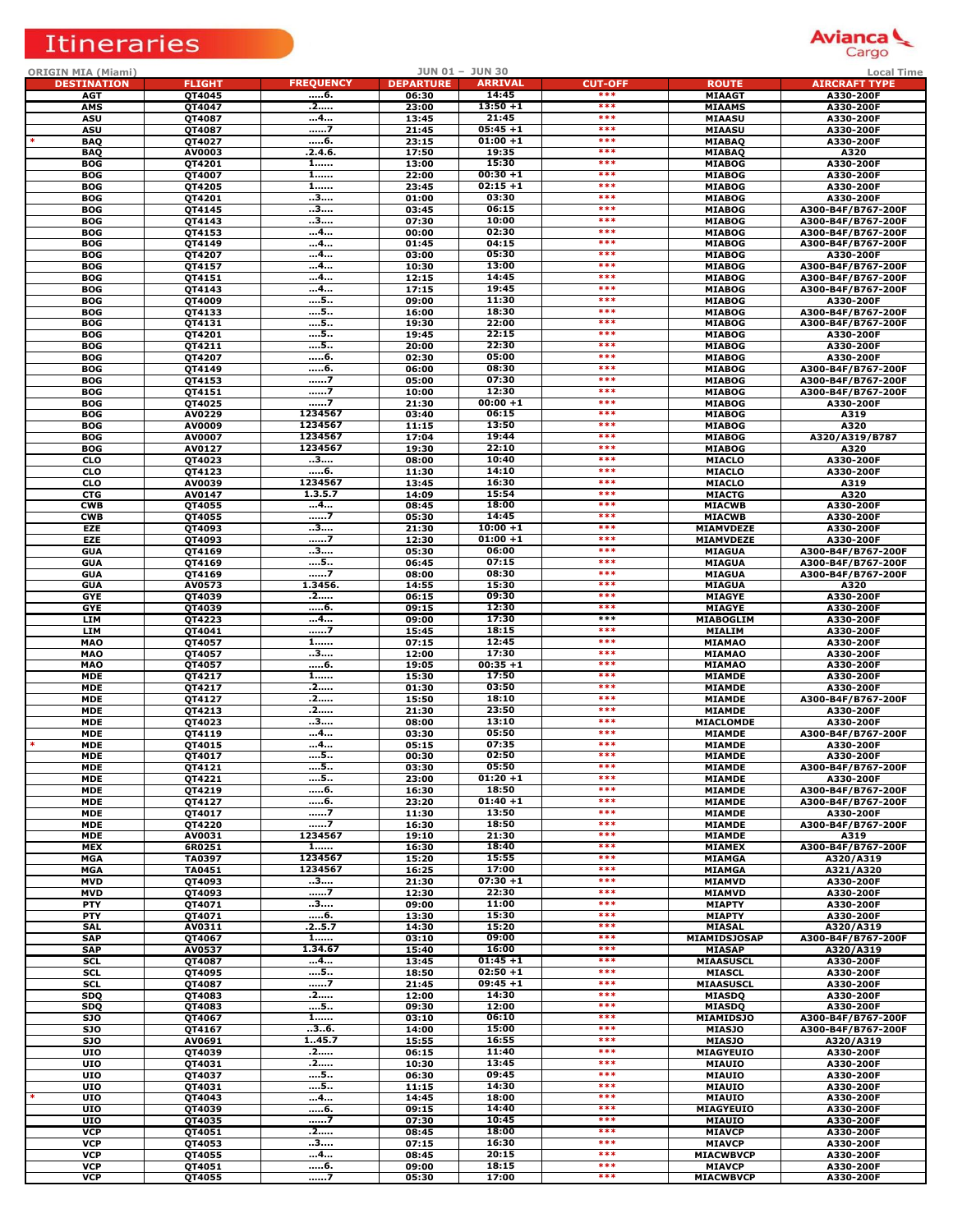# Itineraries



| <b>ORIGIN MIA (Miami)</b>    |                  |                    |                  | JUN 01 - JUN 30      |                       |                                      | <b>Local Time</b>                        |
|------------------------------|------------------|--------------------|------------------|----------------------|-----------------------|--------------------------------------|------------------------------------------|
| <b>DESTINATION</b>           | <b>FLIGHT</b>    | <b>FREQUENCY</b>   | <b>DEPARTURE</b> | <b>ARRIVAL</b>       | <b>CUT-OFF</b><br>*** | <b>ROUTE</b>                         | <b>AIRCRAFT TYPE</b>                     |
| <b>AGT</b><br>AMS            | QT4045<br>QT4047 | 6.<br>.2           | 06:30<br>23:00   | 14:45<br>$13:50 + 1$ | ***                   | <b>MIAAGT</b><br><b>MIAAMS</b>       | A330-200F<br>A330-200F                   |
| <b>ASU</b>                   | QT4087           | 4                  | 13:45            | 21:45                | ***                   | <b>MIAASU</b>                        | A330-200F                                |
| <b>ASU</b>                   | QT4087           | 7                  | 21:45            | $05:45+1$            | ***                   | <b>MIAASU</b>                        | A330-200F                                |
| <b>BAQ</b>                   | QT4027           | 6.<br>.2.4.6.      | 23:15            | $01:00 + 1$<br>19:35 | ***<br>***            | <b>MIABAQ</b>                        | A330-200F                                |
| <b>BAQ</b><br><b>BOG</b>     | AV0003<br>QT4201 | 1                  | 17:50<br>13:00   | 15:30                | ***                   | <b>MIABAQ</b><br><b>MIABOG</b>       | A320<br>A330-200F                        |
| <b>BOG</b>                   | QT4007           | $1$                | 22:00            | $00:30 + 1$          | $***$                 | <b>MIABOG</b>                        | A330-200F                                |
| <b>BOG</b>                   | QT4205           | 1                  | 23:45            | $02:15+1$            | $***$                 | <b>MIABOG</b>                        | A330-200F                                |
| <b>BOG</b>                   | QT4201           | 3                  | 01:00            | 03:30                | $***$                 | <b>MIABOG</b>                        | A330-200F                                |
| <b>BOG</b><br><b>BOG</b>     | QT4145<br>QT4143 | 3<br>              | 03:45<br>07:30   | 06:15<br>10:00       | ***<br>***            | <b>MIABOG</b><br><b>MIABOG</b>       | A300-B4F/B767-200F<br>A300-B4F/B767-200F |
| <b>BOG</b>                   | QT4153           | 4                  | 00:00            | 02:30                | ***                   | <b>MIABOG</b>                        | A300-B4F/B767-200F                       |
| <b>BOG</b>                   | QT4149           | 4                  | 01:45            | 04:15                | ***                   | <b>MIABOG</b>                        | A300-B4F/B767-200F                       |
| <b>BOG</b>                   | QT4207           | 4                  | 03:00            | 05:30                | $***$                 | <b>MIABOG</b>                        | A330-200F                                |
| <b>BOG</b>                   | QT4157           | 4                  | 10:30            | 13:00                | $***$<br>***          | <b>MIABOG</b>                        | A300-B4F/B767-200F                       |
| <b>BOG</b><br><b>BOG</b>     | QT4151<br>QT4143 | 4<br>4             | 12:15<br>17:15   | 14:45<br>19:45       | $***$                 | <b>MIABOG</b><br><b>MIABOG</b>       | A300-B4F/B767-200F<br>A300-B4F/B767-200F |
| <b>BOG</b>                   | QT4009           | 5                  | 09:00            | 11:30                | ***                   | <b>MIABOG</b>                        | A330-200F                                |
| <b>BOG</b>                   | QT4133           | 5                  | 16:00            | 18:30                | ***                   | <b>MIABOG</b>                        | A300-B4F/B767-200F                       |
| <b>BOG</b>                   | QT4131           | 5                  | 19:30            | 22:00                | ***                   | <b>MIABOG</b>                        | A300-B4F/B767-200F                       |
| <b>BOG</b>                   | QT4201           | 5                  | 19:45            | 22:15<br>22:30       | $***$<br>$***$        | <b>MIABOG</b>                        | A330-200F                                |
| <b>BOG</b><br><b>BOG</b>     | QT4211<br>QT4207 | 5<br>6.            | 20:00<br>02:30   | 05:00                | $***$                 | <b>MIABOG</b><br><b>MIABOG</b>       | A330-200F<br>A330-200F                   |
| <b>BOG</b>                   | QT4149           | 6.                 | 06:00            | 08:30                | $***$                 | <b>MIABOG</b>                        | A300-B4F/B767-200F                       |
| <b>BOG</b>                   | QT4153           | 7                  | 05:00            | 07:30                | $***$                 | <b>MIABOG</b>                        | A300-B4F/B767-200F                       |
| <b>BOG</b>                   | QT4151           | 7                  | 10:00            | 12:30                | ***                   | <b>MIABOG</b>                        | A300-B4F/B767-200F                       |
| <b>BOG</b>                   | QT4025           | 7<br>1234567       | 21:30            | $00:00 + 1$<br>06:15 | ***<br>***            | <b>MIABOG</b><br><b>MIABOG</b>       | A330-200F                                |
| <b>BOG</b><br><b>BOG</b>     | AV0229<br>AV0009 | 1234567            | 03:40<br>11:15   | 13:50                | ***                   | <b>MIABOG</b>                        | A319<br>A320                             |
| <b>BOG</b>                   | AV0007           | 1234567            | 17:04            | 19:44                | $***$                 | <b>MIABOG</b>                        | A320/A319/B787                           |
| <b>BOG</b>                   | AV0127           | 1234567            | 19:30            | 22:10                | $***$                 | <b>MIABOG</b>                        | A320                                     |
| <b>CLO</b>                   | QT4023           | 3                  | 08:00            | 10:40                | ***                   | <b>MIACLO</b>                        | A330-200F                                |
| <b>CLO</b><br><b>CLO</b>     | QT4123<br>AV0039 | 6.<br>1234567      | 11:30<br>13:45   | 14:10<br>16:30       | $***$<br>$***$        | <b>MIACLO</b><br><b>MIACLO</b>       | A330-200F<br>A319                        |
| <b>CTG</b>                   | AV0147           | 1.3.5.7            | 14:09            | 15:54                | ***                   | <b>MIACTG</b>                        | A320                                     |
| <b>CWB</b>                   | QT4055           | 4                  | 08:45            | 18:00                | ***                   | <b>MIACWB</b>                        | A330-200F                                |
| <b>CWB</b>                   | QT4055           | 7                  | 05:30            | 14:45                | ***                   | <b>MIACWB</b>                        | A330-200F                                |
| EZE                          | QT4093           | 3                  | 21:30            | $10:00 + 1$          | ***                   | <b>MIAMVDEZE</b>                     | A330-200F                                |
| <b>EZE</b><br><b>GUA</b>     | QT4093           | 7<br>3             | 12:30<br>05:30   | $01:00 + 1$<br>06:00 | $***$<br>$***$        | <b>MIAMVDEZE</b><br><b>MIAGUA</b>    | A330-200F                                |
| <b>GUA</b>                   | QT4169<br>QT4169 | 5                  | 06:45            | 07:15                | ***                   | <b>MIAGUA</b>                        | A300-B4F/B767-200F<br>A300-B4F/B767-200F |
| <b>GUA</b>                   | QT4169           | 7                  | 08:00            | 08:30                | $***$                 | <b>MIAGUA</b>                        | A300-B4F/B767-200F                       |
| <b>GUA</b>                   | AV0573           | 1.3456.            | 14:55            | 15:30                | ***                   | <b>MIAGUA</b>                        | A320                                     |
| <b>GYE</b>                   | QT4039           | .2                 | 06:15            | 09:30                | ***<br>***            | <b>MIAGYE</b>                        | A330-200F                                |
| <b>GYE</b><br><b>LIM</b>     | QT4039<br>QT4223 | 6.<br>4            | 09:15<br>09:00   | 12:30<br>17:30       | $***$                 | <b>MIAGYE</b><br>MIABOGLIM           | A330-200F<br>A330-200F                   |
| <b>LIM</b>                   | QT4041           | 7                  | 15:45            | 18:15                | $***$                 | MIALIM                               | A330-200F                                |
| <b>MAO</b>                   | QT4057           | $1$                | 07:15            | 12:45                | ***                   | <b>MIAMAO</b>                        | A330-200F                                |
| <b>MAO</b>                   | QT4057           | 3                  | 12:00            | 17:30                | $***$                 | <b>MIAMAO</b>                        | A330-200F                                |
| <b>MAO</b>                   | QT4057           | 6.                 | 19:05            | $00:35 + 1$<br>17:50 | ***<br>***            | <b>MIAMAO</b>                        | A330-200F                                |
| <b>MDE</b><br><b>MDE</b>     | QT4217<br>QT4217 | 1<br>.2            | 15:30<br>01:30   | 03:50                | ***                   | <b>MIAMDE</b><br><b>MIAMDE</b>       | A330-200F<br>A330-200F                   |
| <b>MDE</b>                   | QT4127           | .2                 | 15:50            | 18:10                | ***                   | <b>MIAMDE</b>                        | A300-B4F/B767-200F                       |
| <b>MDE</b>                   | QT4213           | .2                 | 21:30            | 23:50                | ***                   | <b>MIAMDE</b>                        | A330-200F                                |
| <b>MDE</b>                   | QT4023           | 3                  | 08:00            | 13:10                | ***                   | MIACLOMDE                            | A330-200F                                |
| <b>MDE</b><br><b>MDE</b>     | QT4119           | 4<br>4             | 03:30            | 05:50<br>07:35       | ***<br>$***$          | <b>MIAMDE</b>                        | A300-B4F/B767-200F                       |
| <b>MDE</b>                   | QT4015<br>QT4017 | 5                  | 05:15<br>00:30   | 02:50                | $***$                 | <b>MIAMDE</b><br><b>MIAMDE</b>       | A330-200F<br>A330-200F                   |
| MDE                          | QT4121           | 5                  | 03:30            | 05:50                | $***$                 | <b>MIAMDE</b>                        | A300-B4F/B767-200F                       |
| <b>MDE</b>                   | QT4221           | 5                  | 23:00            | $01:20 + 1$          | ***                   | <b>MIAMDE</b>                        | A330-200F                                |
| <b>MDE</b>                   | QT4219           | 6.                 | 16:30            | 18:50                | ***<br>***            | <b>MIAMDE</b>                        | A300-B4F/B767-200F                       |
| <b>MDE</b><br><b>MDE</b>     | QT4127<br>QT4017 | 7                  | 23:20<br>11:30   | $01:40 + 1$<br>13:50 | $***$                 | <b>MIAMDE</b><br><b>MIAMDE</b>       | A300-B4F/B767-200F<br>A330-200F          |
| <b>MDE</b>                   | QT4220           | 7                  | 16:30            | 18:50                | $***$                 | <b>MIAMDE</b>                        | A300-B4F/B767-200F                       |
| <b>MDE</b>                   | AV0031           | 1234567            | 19:10            | 21:30                | $***$                 | <b>MIAMDE</b>                        | A319                                     |
| <b>MEX</b>                   | 6R0251           | $1$                | 16:30            | 18:40                | ***<br>***            | <b>MIAMEX</b>                        | A300-B4F/B767-200F                       |
| <b>MGA</b><br><b>MGA</b>     | TA0397<br>TA0451 | 1234567<br>1234567 | 15:20<br>16:25   | 15:55<br>17:00       | $***$                 | <b>MIAMGA</b><br><b>MIAMGA</b>       | A320/A319<br>A321/A320                   |
| <b>MVD</b>                   | QT4093           | 3                  | 21:30            | $07:30 + 1$          | ***                   | <b>MIAMVD</b>                        | A330-200F                                |
| <b>MVD</b>                   | QT4093           | 7                  | 12:30            | 22:30                | ***                   | <b>MIAMVD</b>                        | A330-200F                                |
| <b>PTY</b>                   | QT4071           | 3                  | 09:00            | 11:00                | ***                   | <b>MIAPTY</b>                        | A330-200F                                |
| <b>PTY</b>                   | QT4071           | 6.<br>.25.7        | 13:30            | 15:30<br>15:20       | ***<br>***            | <b>MIAPTY</b>                        | A330-200F                                |
| <b>SAL</b><br><b>SAP</b>     | AV0311<br>QT4067 | $1$                | 14:30<br>03:10   | 09:00                | $***$                 | <b>MIASAL</b><br><b>MIAMIDSJOSAP</b> | A320/A319<br>A300-B4F/B767-200F          |
| <b>SAP</b>                   | AV0537           | 1.34.67            | 15:40            | 16:00                | ***                   | <b>MIASAP</b>                        | A320/A319                                |
| <b>SCI</b>                   | QT4087           | 4                  | 13:45            | $01:45+1$            | ***                   | <b>MIAASUSCL</b>                     | A330-200F                                |
| SCI.                         | QT4095           | 5                  | 18:50            | $02:50 + 1$          | ***                   | <b>MIASCL</b>                        | A330-200F                                |
| <b>SCL</b><br><b>SDQ</b>     | QT4087<br>QT4083 | ……7<br>.2          | 21:45<br>12:00   | $09:45+1$<br>14:30   | ***<br>***            | <b>MIAASUSCL</b><br><b>MIASDQ</b>    | A330-200F<br>A330-200F                   |
| SDQ                          | QT4083           | . 5                | 09:30            | 12:00                | $***$                 | <b>MIASDQ</b>                        | A330-200F                                |
| <b>SJO</b>                   | QT4067           | 1                  | 03:10            | 06:10                | $***$                 | <b>MIAMIDSJO</b>                     | A300-B4F/B767-200F                       |
| <b>SJO</b>                   | QT4167           | 36.                | 14:00            | 15:00                | $***$                 | <b>MIASJO</b>                        | A300-B4F/B767-200F                       |
| <b>SJO</b>                   | AV0691           | 145.7              | 15:55            | 16:55                | $***$<br>***          | <b>MIASJO</b>                        | A320/A319                                |
| $\overline{u}$<br><b>UIO</b> | QT4039<br>QT4031 | .2<br>.2           | 06:15<br>10:30   | 11:40<br>13:45       | ***                   | <b>MIAGYEUIO</b><br><b>MIAUIO</b>    | A330-200F<br>A330-200F                   |
| UIO                          | QT4037           | 5                  | 06:30            | 09:45                | ***                   | <b>MIAUIO</b>                        | A330-200F                                |
| <b>UIO</b>                   | QT4031           | 5                  | 11:15            | 14:30                | ***                   | <b>MIAUIO</b>                        | A330-200F                                |
| UIO                          | QT4043           | 4                  | 14:45            | 18:00                | ***                   | <b>MIAUIO</b>                        | A330-200F                                |
| <b>UIO</b><br>UIO            | QT4039           | <u></u> 6.<br>7    | 09:15<br>07:30   | 14:40<br>10:45       | $***$<br>$***$        | MIAGYEUIO<br><b>MIAUIO</b>           | A330-200F                                |
| <b>VCP</b>                   | QT4035<br>QT4051 | .2                 | 08:45            | 18:00                | ***                   | <b>MIAVCP</b>                        | A330-200F<br>A330-200F                   |
| <b>VCP</b>                   | QT4053           | 3                  | 07:15            | 16:30                | $***$                 | <b>MIAVCP</b>                        | A330-200F                                |
| <b>VCP</b>                   | QT4055           | 4                  | 08:45            | 20:15                | $***$                 | <b>MIACWBVCP</b>                     | A330-200F                                |
| <b>VCP</b><br><b>VCP</b>     | QT4051<br>074055 | 6.<br>7            | 09:00<br>05.30   | 18:15<br>17:00       | ***<br>***            | <b>MIAVCP</b><br><b>MTACWRVCP</b>    | A330-200F<br><b>A330-200F</b>            |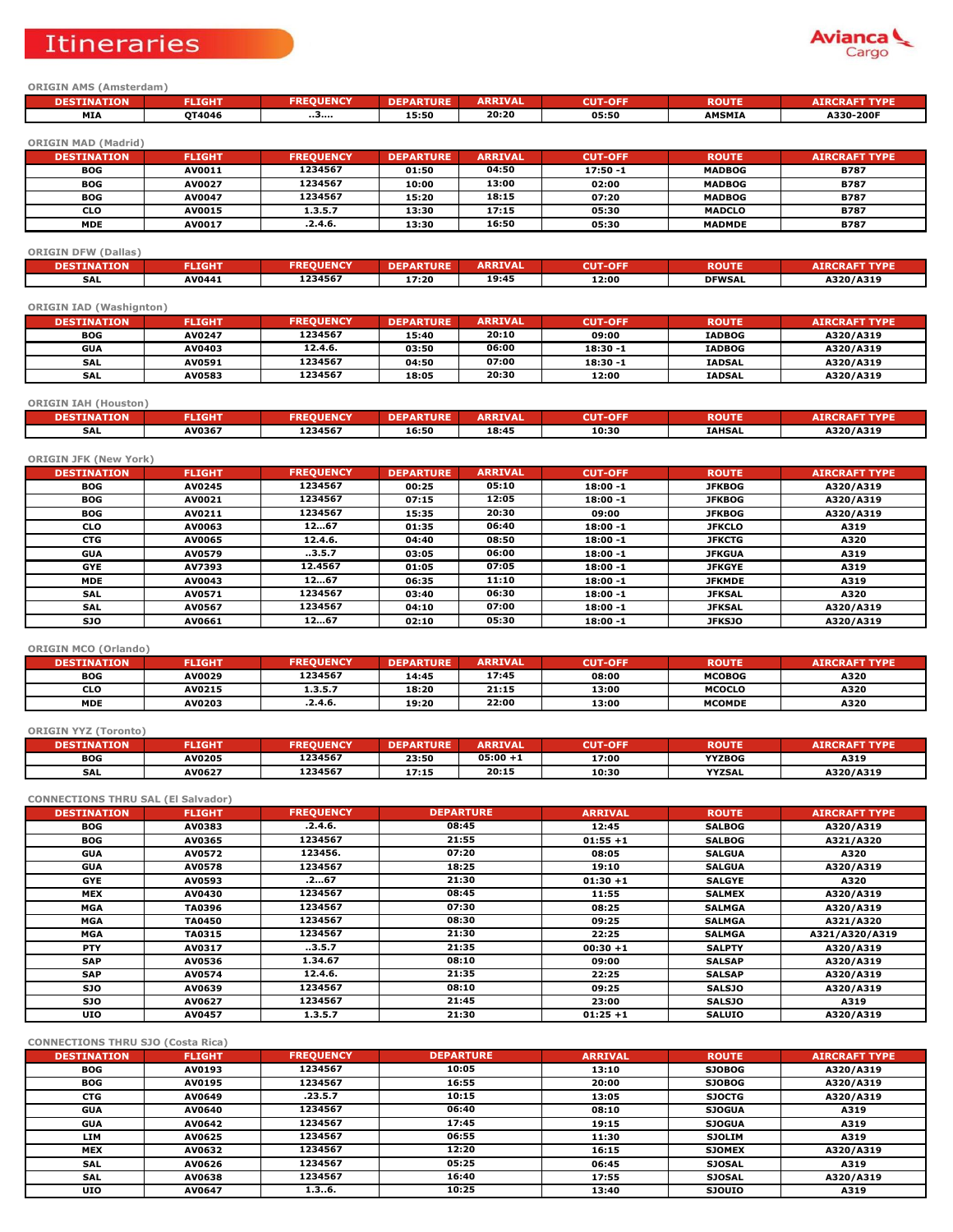# **Itineraries**



### **ORIGIN AMS (Amsterdam)**

| <b>TON</b><br>$\mathcal{M}^{\bullet}$ times $\mathcal{M}^{\bullet}$<br>,, | <b>FLIGHT</b> | ENCY | चार.<br>DF | <b>ARRIVA</b><br>IVAL | OFF<br>CUT- | <b>ROUTE</b>  | <b>TYPF</b><br><b>ATRCE</b> |
|---------------------------------------------------------------------------|---------------|------|------------|-----------------------|-------------|---------------|-----------------------------|
| MI/                                                                       | OT4046        | .    | 15:50      | 20:20                 | 05:50       | <b>AMSMIA</b> | A330-200F                   |

**ORIGIN MAD (Madrid)**

| <b>DESTINATION</b> | <b>FLIGHT</b> | <b>FREOUENCY</b> | <b>DEPARTURE</b> | <b>ARRIVAL</b> | <b>CUT-OFF</b> | <b>ROUTE</b>  | <b>AIRCRAFT TYPE</b> |
|--------------------|---------------|------------------|------------------|----------------|----------------|---------------|----------------------|
| <b>BOG</b>         | AV0011        | 1234567          | 01:50            | 04:50          | 17:50 -1       | <b>MADBOG</b> | <b>B787</b>          |
| <b>BOG</b>         | AV0027        | 1234567          | 10:00            | 13:00          | 02:00          | <b>MADBOG</b> | <b>B787</b>          |
| <b>BOG</b>         | AV0047        | 1234567          | 15:20            | 18:15          | 07:20          | <b>MADBOG</b> | <b>B787</b>          |
| <b>CLO</b>         | AV0015        | 1.3.5.7          | 13:30            | 17:15          | 05:30          | <b>MADCLO</b> | <b>B787</b>          |
| <b>MDE</b>         | AV0017        | .2.4.6.          | 13:30            | 16:50          | 05:30          | <b>MADMDE</b> | <b>B787</b>          |

#### **ORIGIN DFW (Dallas)**

| <b>ATTOM</b><br><b>DESTINA</b><br>אנ | <b>FLIGHT</b> | <b>INTO</b><br><b>FREOUENCY</b> | <b>TURE</b> | <b>ARRIVAL</b> | <b>CUT-OFF</b> | <b>ROUTE</b>  | <b>RAFT TYPE</b> |
|--------------------------------------|---------------|---------------------------------|-------------|----------------|----------------|---------------|------------------|
| SAL                                  | <b>AV0441</b> | 1234567                         | 17:20       | 19:45          | 12:00          | <b>DFWSAL</b> | A320/A319        |

## **ORIGIN IAD (Washignton)**

| <b>DESTINATION</b> | <b>FLIGHT</b> | <b>FREOUENCY</b> | <b>DEPARTURE</b> | <b>ARRIVAL</b> | <b>CUT-OFF</b> | <b>ROUTE</b>  | <b>AIRCRAFT TYPE</b> |
|--------------------|---------------|------------------|------------------|----------------|----------------|---------------|----------------------|
| <b>BOG</b>         | AV0247        | 1234567          | 15:40            | 20:10          | 09:00          | <b>IADBOG</b> | A320/A319            |
| GUA                | AV0403        | 12.4.6.          | 03:50            | 06:00          | $18:30 - 1$    | <b>IADBOG</b> | A320/A319            |
| SAL                | AV0591        | 1234567          | 04:50            | 07:00          | $18:30 - 1$    | <b>IADSAL</b> | A320/A319            |
| <b>SAL</b>         | AV0583        | 1234567          | 18:05            | 20:30          | 12:00          | <b>IADSAL</b> | A320/A319            |

### **ORIGIN IAH (Houston)**

| <b>DESTINATION</b><br>DESTIN | FLIGHT        | <b>JEMPY</b><br><b>FREOUENCY</b> | u ID B | <b>ARRIVAL</b> | <b>CUT-OFF</b> | <b>ROUTE</b>  | <b>RAFT TYPE</b><br><b>AIRCR</b> |
|------------------------------|---------------|----------------------------------|--------|----------------|----------------|---------------|----------------------------------|
| <b>SAL</b>                   | <b>AV0367</b> | 1234567                          | 16:50  | 18:45          | 10:30          | <b>IAHSAL</b> | A320/A319                        |

| <b>ORIGIN JFK (New York)</b> |               |                  |                  |                |                |               |                      |  |  |  |  |
|------------------------------|---------------|------------------|------------------|----------------|----------------|---------------|----------------------|--|--|--|--|
| <b>DESTINATION</b>           | <b>FLIGHT</b> | <b>FREQUENCY</b> | <b>DEPARTURE</b> | <b>ARRIVAL</b> | <b>CUT-OFF</b> | <b>ROUTE</b>  | <b>AIRCRAFT TYPE</b> |  |  |  |  |
| <b>BOG</b>                   | AV0245        | 1234567          | 00:25            | 05:10          | $18:00 - 1$    | <b>JFKBOG</b> | A320/A319            |  |  |  |  |
| <b>BOG</b>                   | AV0021        | 1234567          | 07:15            | 12:05          | $18:00 - 1$    | <b>JFKBOG</b> | A320/A319            |  |  |  |  |
| <b>BOG</b>                   | AV0211        | 1234567          | 15:35            | 20:30          | 09:00          | <b>JFKBOG</b> | A320/A319            |  |  |  |  |
| <b>CLO</b>                   | AV0063        | 1267             | 01:35            | 06:40          | $18:00 - 1$    | <b>JFKCLO</b> | A319                 |  |  |  |  |
| <b>CTG</b>                   | AV0065        | 12.4.6.          | 04:40            | 08:50          | $18:00 - 1$    | <b>JFKCTG</b> | A320                 |  |  |  |  |
| <b>GUA</b>                   | AV0579        | 3.5.7            | 03:05            | 06:00          | $18:00 - 1$    | <b>JFKGUA</b> | A319                 |  |  |  |  |
| <b>GYE</b>                   | AV7393        | 12.4567          | 01:05            | 07:05          | $18:00 - 1$    | <b>JFKGYE</b> | A319                 |  |  |  |  |
| <b>MDE</b>                   | AV0043        | 1267             | 06:35            | 11:10          | $18:00 - 1$    | <b>JFKMDE</b> | A319                 |  |  |  |  |
| <b>SAL</b>                   | AV0571        | 1234567          | 03:40            | 06:30          | $18:00 - 1$    | <b>JFKSAL</b> | A320                 |  |  |  |  |
| <b>SAL</b>                   | AV0567        | 1234567          | 04:10            | 07:00          | $18:00 - 1$    | <b>JFKSAL</b> | A320/A319            |  |  |  |  |
| SJO.                         | AV0661        | 1267             | 02:10            | 05:30          | $18:00 - 1$    | <b>JFKSJO</b> | A320/A319            |  |  |  |  |

#### **ORIGIN MCO (Orlando)**

| <b>DESTINATION</b> | <b>FLIGHT</b> | <b>FREOUENCY</b> | <b>DEPARTURE</b> | <b>ARRIVAL</b> | <b>CUT-OFF</b> | <b>ROUTE</b>  | <b>AIRCRAFT TYPE</b> |
|--------------------|---------------|------------------|------------------|----------------|----------------|---------------|----------------------|
| <b>BOG</b>         | AV0029        | 1234567          | 14:45            | 17:45          | 08:00          | <b>MCOBOG</b> | A320                 |
| <b>CLO</b>         | AV0215        | 1.3.5.7          | 18:20            | 21:15          | 13:00          | <b>MCOCLO</b> | A320                 |
| <b>MDE</b>         | AV0203        | .2.4.6.          | 19:20            | 22:00          | 13:00          | <b>MCOMDE</b> | A320                 |

#### **ORIGIN YYZ (Toronto)**

| <b>DESTINATION</b> | <b>FLIGHT</b> | <b>EQUENCY</b><br>FRE | <b>DEPARTURE</b> | <b>ARRIVAL</b> | <b>CUT-OFF</b> | <b>ROUTE</b>  | <b>ARAFT TYPE</b><br>AIRCP |
|--------------------|---------------|-----------------------|------------------|----------------|----------------|---------------|----------------------------|
| <b>BOG</b>         | AV0205        | 1234567               | 23:50            | $05:00 + 1$    | 17:00          | <b>YYZBOG</b> | A319                       |
| <b>SAL</b>         | AV0627        | 1234567               | 17:15            | 20:15          | 10:30          | <b>YYZSAL</b> | A320/A319                  |

#### **CONNECTIONS THRU SAL (El Salvador)**

| <b>DESTINATION</b> | <b>FLIGHT</b> | <b>FREQUENCY</b> | <b>DEPARTURE</b> | <b>ARRIVAL</b> | <b>ROUTE</b>  | <b>AIRCRAFT TYPE</b> |
|--------------------|---------------|------------------|------------------|----------------|---------------|----------------------|
| BOG                | AV0383        | .2.4.6.          | 08:45            | 12:45          | <b>SALBOG</b> | A320/A319            |
| BOG                | AV0365        | 1234567          | 21:55            | $01:55+1$      | <b>SALBOG</b> | A321/A320            |
| <b>GUA</b>         | <b>AV0572</b> | 123456.          | 07:20            | 08:05          | <b>SALGUA</b> | A320                 |
| <b>GUA</b>         | <b>AV0578</b> | 1234567          | 18:25            | 19:10          | <b>SALGUA</b> | A320/A319            |
| <b>GYE</b>         | AV0593        | .267             | 21:30            | $01:30 + 1$    | <b>SALGYE</b> | A320                 |
| <b>MEX</b>         | AV0430        | 1234567          | 08:45            | 11:55          | <b>SALMEX</b> | A320/A319            |
| MGA                | TA0396        | 1234567          | 07:30            | 08:25          | <b>SALMGA</b> | A320/A319            |
| <b>MGA</b>         | <b>TA0450</b> | 1234567          | 08:30            | 09:25          | <b>SALMGA</b> | A321/A320            |
| MGA                | TA0315        | 1234567          | 21:30            | 22:25          | <b>SALMGA</b> | A321/A320/A319       |
| <b>PTY</b>         | AV0317        | 3.5.7            | 21:35            | $00:30 + 1$    | <b>SALPTY</b> | A320/A319            |
| <b>SAP</b>         | <b>AV0536</b> | 1.34.67          | 08:10            | 09:00          | <b>SALSAP</b> | A320/A319            |
| <b>SAP</b>         | <b>AV0574</b> | 12.4.6.          | 21:35            | 22:25          | <b>SALSAP</b> | A320/A319            |
| SJ0                | AV0639        | 1234567          | 08:10            | 09:25          | <b>SALSJO</b> | A320/A319            |
| <b>SJO</b>         | AV0627        | 1234567          | 21:45            | 23:00          | <b>SALSJO</b> | A319                 |
| <b>UIO</b>         | AV0457        | 1.3.5.7          | 21:30            | $01:25+1$      | <b>SALUIO</b> | A320/A319            |

### **CONNECTIONS THRU SJO (Costa Rica)**

| <b>DESTINATION</b> | <b>FLIGHT</b> | <b>FREQUENCY</b> | <b>DEPARTURE</b> | <b>ARRIVAL</b> | <b>ROUTE</b>  | <b>AIRCRAFT TYPE</b> |
|--------------------|---------------|------------------|------------------|----------------|---------------|----------------------|
| <b>BOG</b>         | AV0193        | 1234567          | 10:05            | 13:10          | <b>SJOBOG</b> | A320/A319            |
| <b>BOG</b>         | AV0195        | 1234567          | 16:55            | 20:00          | <b>SJOBOG</b> | A320/A319            |
| <b>CTG</b>         | AV0649        | .23.5.7          | 10:15            | 13:05          | <b>SJOCTG</b> | A320/A319            |
| <b>GUA</b>         | AV0640        | 1234567          | 06:40            | 08:10          | <b>SJOGUA</b> | A319                 |
| <b>GUA</b>         | AV0642        | 1234567          | 17:45            | 19:15          | <b>SJOGUA</b> | A319                 |
| <b>LIM</b>         | AV0625        | 1234567          | 06:55            | 11:30          | <b>SJOLIM</b> | A319                 |
| <b>MEX</b>         | AV0632        | 1234567          | 12:20            | 16:15          | <b>SJOMEX</b> | A320/A319            |
| <b>SAL</b>         | AV0626        | 1234567          | 05:25            | 06:45          | <b>SJOSAL</b> | A319                 |
| <b>SAL</b>         | AV0638        | 1234567          | 16:40            | 17:55          | <b>SJOSAL</b> | A320/A319            |
| <b>UIO</b>         | AV0647        | 1.36.            | 10:25            | 13:40          | <b>SJOUIO</b> | A319                 |